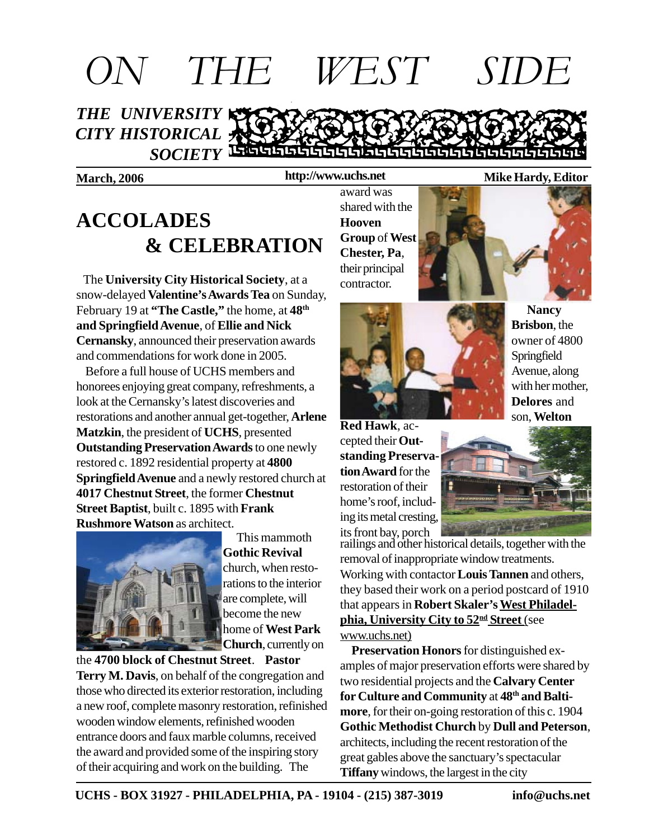

**http://www.uchs.net**

# **ACCOLADES & CELEBRATION**

 The **University City Historical Society**, at a snow-delayed **Valentine's Awards Tea** on Sunday, February 19 at **"The Castle,"** the home, at **48th and Springfield Avenue**, of **Ellie and Nick Cernansky**, announced their preservation awards and commendations for work done in 2005.

 Before a full house of UCHS members and honorees enjoying great company, refreshments, a look at the Cernansky's latest discoveries and restorations and another annual get-together, **Arlene Matzkin**, the president of **UCHS**, presented **Outstanding Preservation Awards** to one newly restored c. 1892 residential property at **4800 Springfield Avenue** and a newly restored church at **4017 Chestnut Street**, the former **Chestnut Street Baptist**, built c. 1895 with **Frank Rushmore Watson** as architect.



 This mammoth **Gothic Revival** church, when restorations to the interior are complete, will become the new home of **West Park Church**, currently on

the **4700 block of Chestnut Street**. **Pastor**

**Terry M. Davis**, on behalf of the congregation and those who directed its exterior restoration, including a new roof, complete masonry restoration, refinished wooden window elements, refinished wooden entrance doors and faux marble columns, received the award and provided some of the inspiring story of their acquiring and work on the building. The

award was shared with the **Hooven Group** of **West Chester, Pa**, their principal contractor.



 **Nancy Brisbon**, the owner of 4800 Springfield Avenue, along with her mother, **Delores** and





**Red Hawk**, accepted their **Outstanding Preservation Award** for the restoration of their home's roof, including its metal cresting, its front bay, porch



railings and other historical details, together with the removal of inappropriate window treatments. Working with contactor **Louis Tannen** and others, they based their work on a period postcard of 1910 that appears in **Robert Skaler's West Philadelphia, University City to 52nd Street** (see www.uchs.net)

 **Preservation Honors** for distinguished examples of major preservation efforts were shared by two residential projects and the **Calvary Center for Culture and Community** at **48th and Baltimore**, for their on-going restoration of this c. 1904 **Gothic Methodist Church** by **Dull and Peterson**, architects, including the recent restoration of the great gables above the sanctuary's spectacular **Tiffany** windows, the largest in the city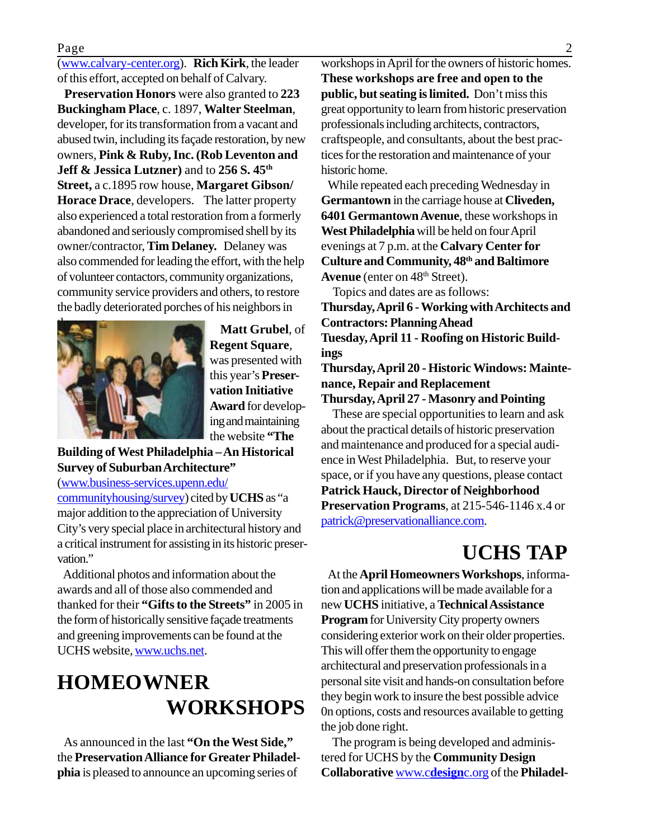#### Page 2

(www.calvary-center.org). **Rich Kirk**, the leader of this effort, accepted on behalf of Calvary.

 **Preservation Honors** were also granted to **223 Buckingham Place**, c. 1897, **Walter Steelman**, developer, for its transformation from a vacant and abused twin, including its façade restoration, by new owners, **Pink & Ruby, Inc. (Rob Leventon and Jeff & Jessica Lutzner)** and to **256 S. 45th Street,** a c.1895 row house, **Margaret Gibson/ Horace Drace**, developers. The latter property also experienced a total restoration from a formerly abandoned and seriously compromised shell by its owner/contractor, **Tim Delaney.** Delaney was also commended for leading the effort, with the help of volunteer contactors, community organizations, community service providers and others, to restore the badly deteriorated porches of his neighbors in



**Matt Grubel**, of **Regent Square**, was presented with this year's **Preservation Initiative Award** for developing and maintaining the website **"The**

#### **Building of West Philadelphia – An Historical Survey of Suburban Architecture"**

(www.business-services.upenn.edu/ communityhousing/survey) cited by **UCHS** as "a major addition to the appreciation of University City's very special place in architectural history and a critical instrument for assisting in its historic preservation."

 Additional photos and information about the awards and all of those also commended and thanked for their **"Gifts to the Streets"** in 2005 in the form of historically sensitive façade treatments and greening improvements can be found at the UCHS website, www.uchs.net.

## **HOMEOWNER WORKSHOPS**

 As announced in the last **"On the West Side,"** the **Preservation Alliance for Greater Philadelphia** is pleased to announce an upcoming series of

workshops in April for the owners of historic homes. **These workshops are free and open to the public, but seating is limited.** Don't miss this great opportunity to learn from historic preservation professionals including architects, contractors, craftspeople, and consultants, about the best practices for the restoration and maintenance of your historic home.

While repeated each preceding Wednesday in **Germantown** in the carriage house at **Cliveden, 6401 Germantown Avenue**, these workshops in **West Philadelphia** will be held on four April evenings at 7 p.m. at the **Calvary Center for Culture and Community, 48th and Baltimore** Avenue (enter on 48<sup>th</sup> Street).

Topics and dates are as follows:

**Thursday, April 6 - Working with Architects and Contractors: Planning Ahead Tuesday, April 11 - Roofing on Historic Buildings**

**Thursday, April 20 - Historic Windows: Maintenance, Repair and Replacement**

#### **Thursday, April 27 - Masonry and Pointing**

 These are special opportunities to learn and ask about the practical details of historic preservation and maintenance and produced for a special audience in West Philadelphia. But, to reserve your space, or if you have any questions, please contact **Patrick Hauck, Director of Neighborhood Preservation Programs**, at 215-546-1146 x.4 or patrick@preservationalliance.com.

### **UCHS TAP**

At the **April Homeowners Workshops**, information and applications will be made available for a new **UCHS** initiative, a **Technical Assistance Program** for University City property owners considering exterior work on their older properties. This will offer them the opportunity to engage architectural and preservation professionals in a personal site visit and hands-on consultation before they begin work to insure the best possible advice 0n options, costs and resources available to getting the job done right.

 The program is being developed and administered for UCHS by the **Community Design Collaborative** www.c**design**c.org of the **Philadel-**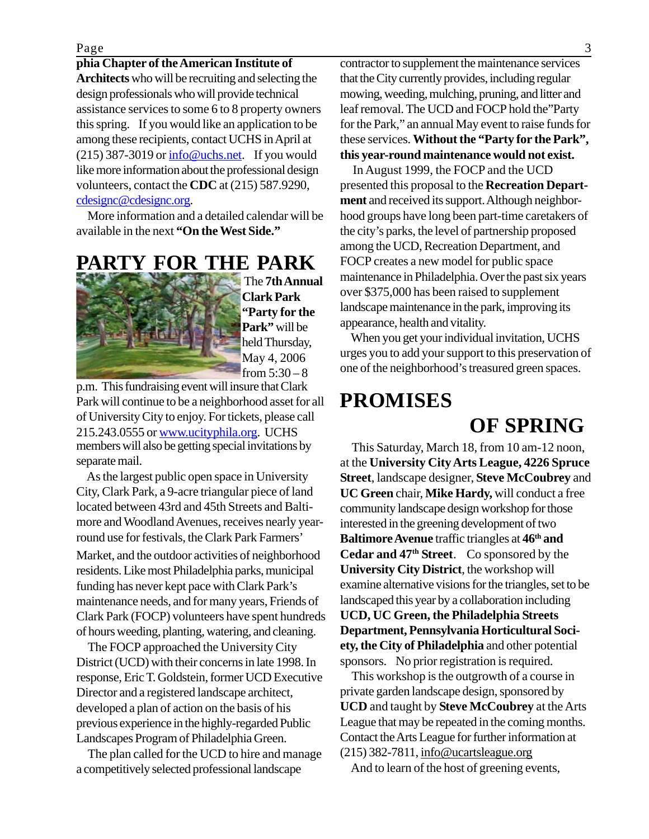#### **phia Chapter of the American Institute of**

**Architects** who will be recruiting and selecting the design professionals who will provide technical assistance services to some 6 to 8 property owners this spring. If you would like an application to be among these recipients, contact UCHS in April at  $(215)$  387-3019 or  $\frac{info@uchs.net}{info@uchs.net}$ . If you would like more information about the professional design volunteers, contact the **CDC** at (215) 587.9290, cdesignc@cdesignc.org.

 More information and a detailed calendar will be available in the next **"On the West Side."**

**PARTY FOR THE PARK**



 The **7th Annual Clark Park "Party for the Park"** will be held Thursday, May 4, 2006 from  $5:30 - 8$ 

members will also be getting special invitations by separate mail. p.m. This fundraising event will insure that Clark Park will continue to be a neighborhood asset for all of University City to enjoy. For tickets, please call 215.243.0555 or www.ucityphila.org. UCHS

Market, and the outdoor activities of neighborhood residents. Like most Philadelphia parks, municipal funding has never kept pace with Clark Park's maintenance needs, and for many years, Friends of Clark Park (FOCP) volunteers have spent hundreds of hours weeding, planting, watering, and cleaning. As the largest public open space in University City, Clark Park, a 9-acre triangular piece of land located between 43rd and 45th Streets and Baltimore and Woodland Avenues, receives nearly yearround use for festivals, the Clark Park Farmers'

 The FOCP approached the University City District (UCD) with their concerns in late 1998. In response, Eric T. Goldstein, former UCD Executive Director and a registered landscape architect, developed a plan of action on the basis of his previous experience in the highly-regarded Public Landscapes Program of Philadelphia Green.

 The plan called for the UCD to hire and manage a competitively selected professional landscape

contractor to supplement the maintenance services that the City currently provides, including regular mowing, weeding, mulching, pruning, and litter and leaf removal. The UCD and FOCP hold the"Party for the Park," an annual May event to raise funds for these services. **Without the "Party for the Park", this year-round maintenance would not exist.**

In August 1999, the FOCP and the UCD presented this proposal to the **Recreation Department** and received its support. Although neighborhood groups have long been part-time caretakers of the city's parks, the level of partnership proposed among the UCD, Recreation Department, and FOCP creates a new model for public space maintenance in Philadelphia. Over the past six years over \$375,000 has been raised to supplement landscape maintenance in the park, improving its appearance, health and vitality.

 When you get your individual invitation, UCHS urges you to add your support to this preservation of one of the neighborhood's treasured green spaces.

### **PROMISES**

## **OF SPRING**

 This Saturday, March 18, from 10 am-12 noon, at the **University City Arts League, 4226 Spruce Street**, landscape designer, **Steve McCoubrey** and **UC Green** chair, **Mike Hardy,** will conduct a free community landscape design workshop for those interested in the greening development of two **Baltimore Avenue** traffic triangles at **46th and Cedar and 47th Street**. Co sponsored by the **University City District**, the workshop will examine alternative visions for the triangles, set to be landscaped this year by a collaboration including **UCD, UC Green, the Philadelphia Streets Department, Pennsylvania Horticultural Society, the City of Philadelphia** and other potential sponsors. No prior registration is required.

 This workshop is the outgrowth of a course in private garden landscape design, sponsored by **UCD** and taught by **Steve McCoubrey** at the Arts League that may be repeated in the coming months. Contact the Arts League for further information at (215) 382-7811, info@ucartsleague.org

And to learn of the host of greening events,